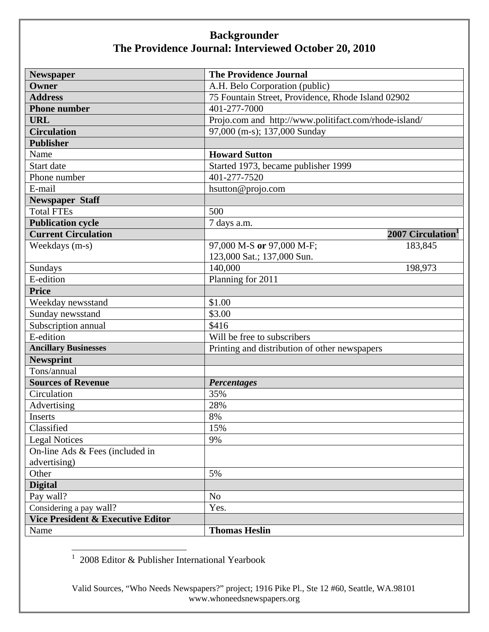| <b>Newspaper</b>                             | <b>The Providence Journal</b>                         |
|----------------------------------------------|-------------------------------------------------------|
| Owner                                        | A.H. Belo Corporation (public)                        |
| <b>Address</b>                               | 75 Fountain Street, Providence, Rhode Island 02902    |
| <b>Phone number</b>                          | 401-277-7000                                          |
| <b>URL</b>                                   | Projo.com and http://www.politifact.com/rhode-island/ |
| <b>Circulation</b>                           | 97,000 (m-s); 137,000 Sunday                          |
| <b>Publisher</b>                             |                                                       |
| Name                                         | <b>Howard Sutton</b>                                  |
| Start date                                   | Started 1973, became publisher 1999                   |
| Phone number                                 | 401-277-7520                                          |
| E-mail                                       | hsutton@projo.com                                     |
| <b>Newspaper Staff</b>                       |                                                       |
| <b>Total FTEs</b>                            | 500                                                   |
| <b>Publication cycle</b>                     | 7 days a.m.                                           |
| <b>Current Circulation</b>                   | 2007 Circulation <sup>1</sup>                         |
| Weekdays (m-s)                               | 97,000 M-S or 97,000 M-F;<br>183,845                  |
|                                              | 123,000 Sat.; 137,000 Sun.                            |
| Sundays                                      | 140,000<br>198,973                                    |
| E-edition                                    | Planning for 2011                                     |
| <b>Price</b>                                 |                                                       |
| Weekday newsstand                            | \$1.00                                                |
| Sunday newsstand                             | \$3.00                                                |
| Subscription annual                          | \$416                                                 |
| E-edition                                    | Will be free to subscribers                           |
| <b>Ancillary Businesses</b>                  | Printing and distribution of other newspapers         |
| <b>Newsprint</b>                             |                                                       |
| Tons/annual                                  |                                                       |
| <b>Sources of Revenue</b>                    | <b>Percentages</b>                                    |
| Circulation                                  | 35%                                                   |
| Advertising                                  | 28%                                                   |
| Inserts                                      | 8%                                                    |
| Classified                                   | 15%                                                   |
| <b>Legal Notices</b>                         | 9%                                                    |
| On-line Ads & Fees (included in              |                                                       |
| advertising)                                 |                                                       |
| Other                                        | 5%                                                    |
| <b>Digital</b>                               |                                                       |
| Pay wall?                                    | N <sub>o</sub>                                        |
| Considering a pay wall?                      | Yes.                                                  |
| <b>Vice President &amp; Executive Editor</b> |                                                       |
| Name                                         | <b>Thomas Heslin</b>                                  |

1 2008 Editor & Publisher International Yearbook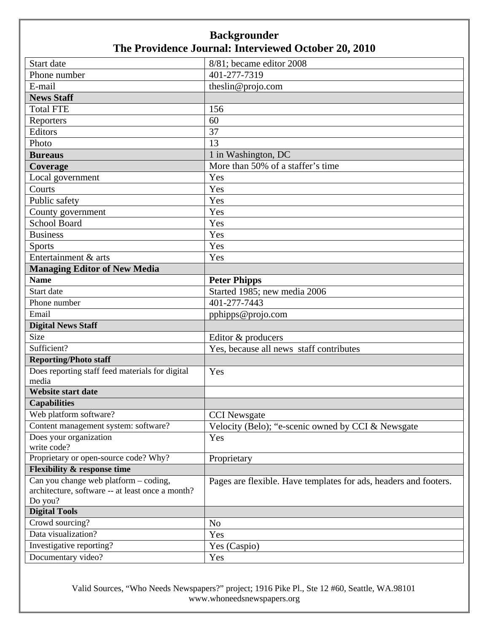| Start date                                                  | 8/81; became editor 2008                                         |
|-------------------------------------------------------------|------------------------------------------------------------------|
| Phone number                                                | 401-277-7319                                                     |
| E-mail                                                      | theslin@projo.com                                                |
| <b>News Staff</b>                                           |                                                                  |
| <b>Total FTE</b>                                            | 156                                                              |
| Reporters                                                   | 60                                                               |
| Editors                                                     | 37                                                               |
| Photo                                                       | 13                                                               |
| <b>Bureaus</b>                                              | 1 in Washington, DC                                              |
| <b>Coverage</b>                                             | More than 50% of a staffer's time                                |
| Local government                                            | Yes                                                              |
| Courts                                                      | Yes                                                              |
| Public safety                                               | Yes                                                              |
| County government                                           | Yes                                                              |
| <b>School Board</b>                                         | Yes                                                              |
| <b>Business</b>                                             | Yes                                                              |
| <b>Sports</b>                                               | Yes                                                              |
| Entertainment & arts                                        | Yes                                                              |
| <b>Managing Editor of New Media</b>                         |                                                                  |
| <b>Name</b>                                                 | <b>Peter Phipps</b>                                              |
| Start date                                                  | Started 1985; new media 2006                                     |
| Phone number                                                | 401-277-7443                                                     |
| Email                                                       | pphipps@projo.com                                                |
| <b>Digital News Staff</b>                                   |                                                                  |
| Size                                                        | Editor & producers                                               |
| Sufficient?                                                 | Yes, because all news staff contributes                          |
| <b>Reporting/Photo staff</b>                                |                                                                  |
| Does reporting staff feed materials for digital             | Yes                                                              |
| media                                                       |                                                                  |
| <b>Website start date</b>                                   |                                                                  |
| <b>Capabilities</b>                                         |                                                                  |
| Web platform software?                                      | <b>CCI</b> Newsgate                                              |
| Content management system: software?                        | Velocity (Belo); "e-scenic owned by CCI & Newsgate               |
| Does your organization                                      | Yes                                                              |
| write code?                                                 |                                                                  |
| Proprietary or open-source code? Why?                       | Proprietary                                                      |
| <b>Flexibility &amp; response time</b>                      |                                                                  |
| Can you change web platform – coding,                       | Pages are flexible. Have templates for ads, headers and footers. |
| architecture, software -- at least once a month?<br>Do you? |                                                                  |
| <b>Digital Tools</b>                                        |                                                                  |
| Crowd sourcing?                                             | N <sub>o</sub>                                                   |
| Data visualization?                                         | Yes                                                              |
| Investigative reporting?                                    | Yes (Caspio)                                                     |
| Documentary video?                                          | Yes                                                              |
|                                                             |                                                                  |

Valid Sources, "Who Needs Newspapers?" project; 1916 Pike Pl., Ste 12 #60, Seattle, WA.98101 www.whoneedsnewspapers.org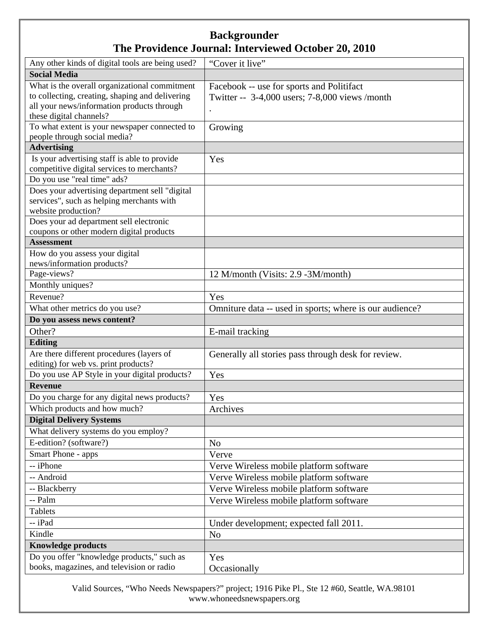| Any other kinds of digital tools are being used?                                        | "Cover it live"                                         |
|-----------------------------------------------------------------------------------------|---------------------------------------------------------|
| <b>Social Media</b>                                                                     |                                                         |
| What is the overall organizational commitment                                           | Facebook -- use for sports and Politifact               |
| to collecting, creating, shaping and delivering                                         | Twitter -- 3-4,000 users; 7-8,000 views /month          |
| all your news/information products through                                              |                                                         |
| these digital channels?                                                                 |                                                         |
| To what extent is your newspaper connected to                                           | Growing                                                 |
| people through social media?                                                            |                                                         |
| <b>Advertising</b>                                                                      |                                                         |
| Is your advertising staff is able to provide                                            | Yes                                                     |
| competitive digital services to merchants?                                              |                                                         |
| Do you use "real time" ads?                                                             |                                                         |
| Does your advertising department sell "digital                                          |                                                         |
| services", such as helping merchants with                                               |                                                         |
| website production?                                                                     |                                                         |
| Does your ad department sell electronic                                                 |                                                         |
| coupons or other modern digital products<br><b>Assessment</b>                           |                                                         |
|                                                                                         |                                                         |
| How do you assess your digital                                                          |                                                         |
| news/information products?                                                              |                                                         |
| Page-views?                                                                             | 12 M/month (Visits: 2.9 -3M/month)                      |
| Monthly uniques?                                                                        |                                                         |
| Revenue?                                                                                | Yes                                                     |
| What other metrics do you use?                                                          | Omniture data -- used in sports; where is our audience? |
|                                                                                         |                                                         |
| Do you assess news content?                                                             |                                                         |
| Other?                                                                                  | E-mail tracking                                         |
| <b>Editing</b>                                                                          |                                                         |
| Are there different procedures (layers of                                               | Generally all stories pass through desk for review.     |
| editing) for web vs. print products?                                                    |                                                         |
| Do you use AP Style in your digital products?                                           | Yes                                                     |
| <b>Revenue</b>                                                                          |                                                         |
| Do you charge for any digital news products?                                            | Yes                                                     |
| Which products and how much?                                                            | Archives                                                |
| <b>Digital Delivery Systems</b>                                                         |                                                         |
| What delivery systems do you employ?                                                    |                                                         |
| E-edition? (software?)                                                                  | N <sub>o</sub>                                          |
| Smart Phone - apps                                                                      | Verve                                                   |
| -- iPhone                                                                               |                                                         |
|                                                                                         | Verve Wireless mobile platform software                 |
| -- Android                                                                              | Verve Wireless mobile platform software                 |
| -- Blackberry                                                                           | Verve Wireless mobile platform software                 |
| -- Palm                                                                                 | Verve Wireless mobile platform software                 |
| <b>Tablets</b>                                                                          |                                                         |
| -- iPad                                                                                 | Under development; expected fall 2011.                  |
| Kindle                                                                                  | N <sub>o</sub>                                          |
| <b>Knowledge products</b>                                                               |                                                         |
| Do you offer "knowledge products," such as<br>books, magazines, and television or radio | Yes<br>Occasionally                                     |

Valid Sources, "Who Needs Newspapers?" project; 1916 Pike Pl., Ste 12 #60, Seattle, WA.98101 www.whoneedsnewspapers.org